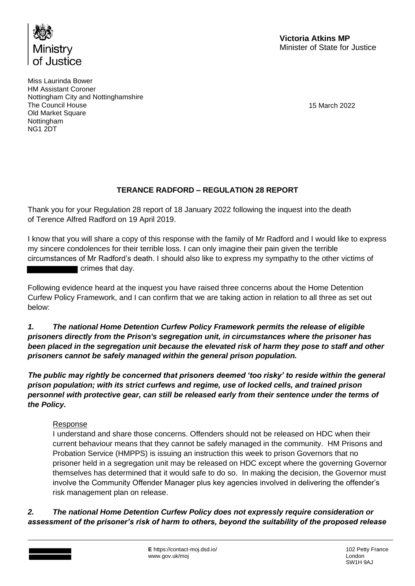

Miss Laurinda Bower HM Assistant Coroner Nottingham City and Nottinghamshire The Council House Old Market Square **Nottingham** NG1 2DT

15 March 2022

## **TERANCE RADFORD – REGULATION 28 REPORT**

Thank you for your Regulation 28 report of 18 January 2022 following the inquest into the death of Terence Alfred Radford on 19 April 2019.

I know that you will share a copy of this response with the family of Mr Radford and I would like to express my sincere condolences for their terrible loss. I can only imagine their pain given the terrible circumstances of Mr Radford's death. I should also like to express my sympathy to the other victims of crimes that day.

Following evidence heard at the inquest you have raised three concerns about the Home Detention Curfew Policy Framework, and I can confirm that we are taking action in relation to all three as set out below:

*1. The national Home Detention Curfew Policy Framework permits the release of eligible prisoners directly from the Prison's segregation unit, in circumstances where the prisoner has been placed in the segregation unit because the elevated risk of harm they pose to staff and other prisoners cannot be safely managed within the general prison population.*

*The public may rightly be concerned that prisoners deemed 'too risky' to reside within the general prison population; with its strict curfews and regime, use of locked cells, and trained prison personnel with protective gear, can still be released early from their sentence under the terms of the Policy.*

### Response

I understand and share those concerns. Offenders should not be released on HDC when their current behaviour means that they cannot be safely managed in the community. HM Prisons and Probation Service (HMPPS) is issuing an instruction this week to prison Governors that no prisoner held in a segregation unit may be released on HDC except where the governing Governor themselves has determined that it would safe to do so. In making the decision, the Governor must involve the Community Offender Manager plus key agencies involved in delivering the offender's risk management plan on release.

*2. The national Home Detention Curfew Policy does not expressly require consideration or assessment of the prisoner's risk of harm to others, beyond the suitability of the proposed release*

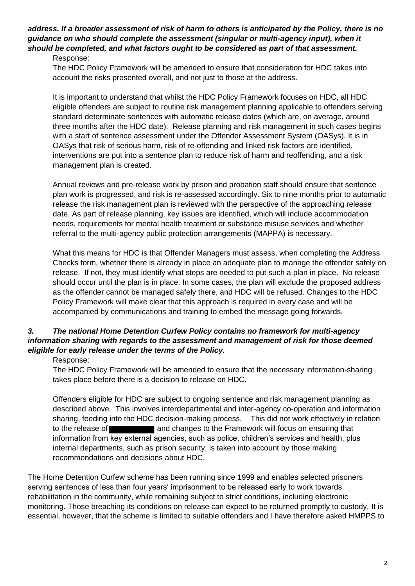# *address. If a broader assessment of risk of harm to others is anticipated by the Policy, there is no guidance on who should complete the assessment (singular or multi-agency input), when it should be completed, and what factors ought to be considered as part of that assessment.*

#### Response:

The HDC Policy Framework will be amended to ensure that consideration for HDC takes into account the risks presented overall, and not just to those at the address.

It is important to understand that whilst the HDC Policy Framework focuses on HDC, all HDC eligible offenders are subject to routine risk management planning applicable to offenders serving standard determinate sentences with automatic release dates (which are, on average, around three months after the HDC date). Release planning and risk management in such cases begins with a start of sentence assessment under the Offender Assessment System (OASys). It is in OASys that risk of serious harm, risk of re-offending and linked risk factors are identified, interventions are put into a sentence plan to reduce risk of harm and reoffending, and a risk management plan is created.

Annual reviews and pre-release work by prison and probation staff should ensure that sentence plan work is progressed, and risk is re-assessed accordingly. Six to nine months prior to automatic release the risk management plan is reviewed with the perspective of the approaching release date. As part of release planning, key issues are identified, which will include accommodation needs, requirements for mental health treatment or substance misuse services and whether referral to the multi-agency public protection arrangements (MAPPA) is necessary.

What this means for HDC is that Offender Managers must assess, when completing the Address Checks form, whether there is already in place an adequate plan to manage the offender safely on release. If not, they must identify what steps are needed to put such a plan in place. No release should occur until the plan is in place. In some cases, the plan will exclude the proposed address as the offender cannot be managed safely there, and HDC will be refused. Changes to the HDC Policy Framework will make clear that this approach is required in every case and will be accompanied by communications and training to embed the message going forwards.

## *3. The national Home Detention Curfew Policy contains no framework for multi-agency information sharing with regards to the assessment and management of risk for those deemed eligible for early release under the terms of the Policy.*

### Response:

The HDC Policy Framework will be amended to ensure that the necessary information-sharing takes place before there is a decision to release on HDC.

Offenders eligible for HDC are subject to ongoing sentence and risk management planning as described above. This involves interdepartmental and inter-agency co-operation and information sharing, feeding into the HDC decision-making process. This did not work effectively in relation to the release of and changes to the Framework will focus on ensuring that information from key external agencies, such as police, children's services and health, plus internal departments, such as prison security, is taken into account by those making recommendations and decisions about HDC.

The Home Detention Curfew scheme has been running since 1999 and enables selected prisoners serving sentences of less than four years' imprisonment to be released early to work towards rehabilitation in the community, while remaining subject to strict conditions, including electronic monitoring. Those breaching its conditions on release can expect to be returned promptly to custody. It is essential, however, that the scheme is limited to suitable offenders and I have therefore asked HMPPS to